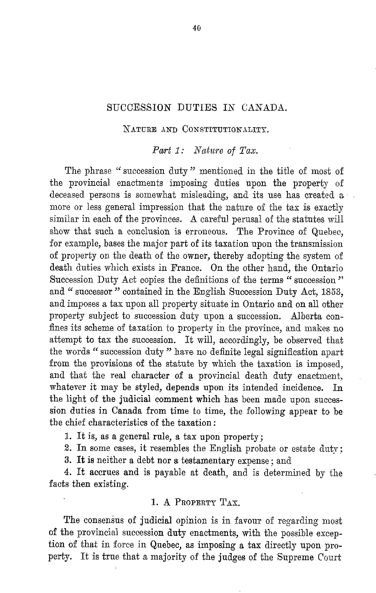# SUCCESSION DUTIES IN CANADA.

#### NATURE AND CONSTITUTIONALITY.

Part 1: Nature of Tax.

The phrase " succession duty " mentioned in the title of most of the provincial enactments imposing duties upon the property of deceased persons is somewhat misleading, and its use has created a more or less general impression that the nature of the tax is exactly similar in each of the provinces. A careful perusal of the statutes will show that such a conclusion is erroneous. The Province of Quebec, for example, bases the major part of its taxation upon the transmission of property on the death of the owner, thereby adopting the system of death duties which exists in France. On the other hand, the Ontario Succession Duty Act copies the definitions of the terms " succession" and " successor " contained in the English Succession Duty Act, 1853, and imposes a tax upon all property situate in Ontario and on all other property subject to succession duty upon a succession. Alberta confines its scheme of taxation to property in the province, and makes no attempt to tax the succession. It will, accordingly, be observed that the words " succession duty " have no definite legal signification apart from the provisions of the statute by which the taxation is imposed, and that the real character of a provincial death duty enactment, whatever it may be styled, depends upon its intended incidence. In the light of the judicial comment which has been made upon succession duties in Canada from time to time, the following appear to be the chief characteristics of the taxation :

<sup>1</sup> . It is, as a general rule, a tax upon property ;

2. In some cases, it resembles the English probate or estate duty;

3. It is neither a debt nor a testamentary expense ; and

4. It accrues and is payable at death, and is determined by the facts then existing.

#### 1. A PROPERTY TAX.

The consensus of judicial opinion is in favour of regarding most of the provincial succession duty enactments, with the possible exception of that in force in Quebec, as imposing a tax directly upon pro perty. It is true that a majority of the judges of the Supreme Court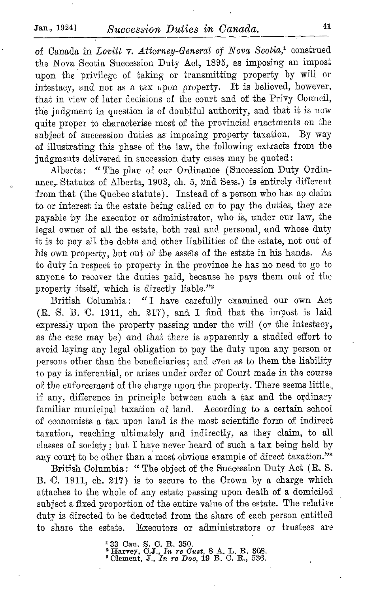of Canada in Lovitt v. Attorney-General of Nova Scotia,<sup>1</sup> construed the Nova Scotia Succession Duty Act, 1895, as imposing an impost upon the privilege of taking or transmitting property by will or intestacy, and not as a tax upon property. It is believed, however, that in view of later decisions of the court and of the Privy Council, the judgment in question is of doubtful authority, and that it is now quite proper to characterise most of the provincial enactments on the subject of succession duties as imposing property taxation. By way of illustrating this phase of the law, the following extracts from the judgments delivered in succession duty cases may be quoted:

Alberta: "The plan of our Ordinance (Succession Duty Ordinance, Statutes of Alberta, 1903, ch. 5, 2nd Sess.) is entirely different from that (the Quebec statute) . Instead of <sup>a</sup> person who has no claim to or interest in the estate being called on to pay the duties, they are payable by the executor or administrator, who is, under our law, the legal owner of all the estate, both real and personal, and whose duty it is to pay all the debts and other liabilities of the estate, not out of his own property, but out of the asséts of the estate in his hands. As to duty in respect to property in the province he has no need to go to anyone to recover the duties paid, because he pays them out of the property itself, which is directly liable."<sup>2</sup>

British Columbia: "I have carefully examined our own Act (R. S. B. C. 1911, ch. 217), and I find that the impost is laid expressly upon the property passing under the will (or the intestacy, as the case may be) and that there is apparently a studied effort to avoid laying any legal obligation to pay the duty upon any person or persons other than the beneficiaries ; and even as to them the liability to pay is inferential, or arises under order of Court made in the course of the enforcement of the charge upon the property. There seems little. if any, difference in principle between such a tax and the ordinary familiar municipal taxation of land. According to a certain school of economists a tax upon land is the most scientific form of indirect taxation, reaching ultimately and indirectly, as they claim, to all classes of society ; but I have never heard of such a tax being held by any court to be other than a most obvious example of direct taxation."<sup>8</sup>

British Columbia : "The object of the Succession Duty Act (R. S. B. C. 1911, ch. 217) is to secure to the Crown by a charge which attaches to the whole of any estate passing upon death of a domiciled subject a fixed proportion of the entire value of the estate. The relative duty is directed to be deducted from the share of each person entitled to share the estate. Executors or administrators or trustees are

<sup>1</sup> 33 Can. S. C. R. 350,<br><sup>2</sup> Harvey, C.J., *In re Cust*, 8 A. L. R. 308.<br><sup>3</sup> Clement, J., *In re Doe*, 19 B. C. R., 536.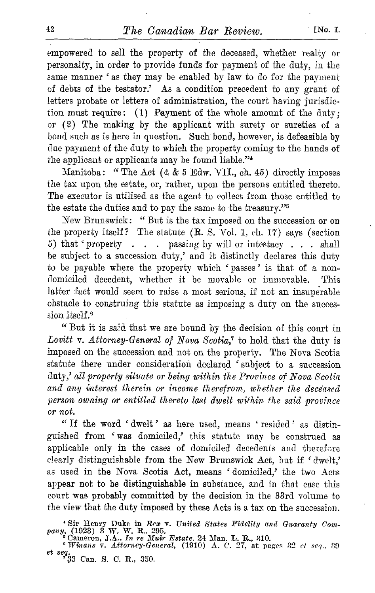empowered to sell the property of the deceased, whether realty or personalty, in order to provide funds for payment of the duty, in the same manner 'as they may be enabled by law to do for the payment of debts of the testator.' As a condition precedent to any grant of letters probate or letters of administration, the court having jurisdiction must require: (1) Payment of the whole amount of the duty; or (2) The making by the applicant with surety or sureties of a bond such as is here in question. Such bond, however, is defeasible by due payment of the duty to which the property coming to the hands of the applicant or applicants may be found liable."<sup>4</sup>

Manitoba: "The Act (4 & 5 Edw. VII., ch. 45) directly imposes the tax upon the estate, or, rather, upon the persons entitled thereto. The executor is utilised as the agent to collect from those entitled to the estate the duties and to pay the same to the treasury."<sup>5</sup>

New Brunswick : " But is the tax imposed on the succession or on the property itself? The statute (R. S. Vol. 1, ch. 17) says (section 5) that ' property . . . passing by will or intestacy . . . shall be subject to a succession duty,' and it distinctly declares this duty to be payable where the property which 'passes' is that of a nondomiciled decedent, whether it be movable or immovable. This latter fact would seem to raise a most serious, if not an insuperable obstacle to construing this statute as imposing a duty on the succession itself.<sup>6</sup>

" But it is said that we are bound by the decision of this court in Lovitt v. Attorney-General of Nova Scotia,<sup>7</sup> to hold that the duty is imposed on the succession and not on the property. The Nova Scotia statute there under consideration declared 'subject to a succession duty,' all property situate or being within the Province of Nova Scotia and any interest therein or income therefrom, whether the deceased person owning or entitled thereto last dwelt within the said province or not.

"If the word `dwelt' as here used, means `resided' as distinguished from 'was domiciled,' this statute may be construed as applicable only in the cases of domiciled decedents and therefore clearly distinguishable from the New Brunswick Act, but if 'dwelt,' as used in the Nova Scotia Act, means 'domiciled,' the two Acts appear not to be distinguishable in substance, and in that case this court was probably committed by the decision in the 33rd volume to the view that the duty imposed by these Acts is a tax on the succession .

<sup>4</sup> Sir Henry Duke in Rex v. United States Fidelity and Guaranty Com-<br>pany, (1923) 3 W. W. R., 295.<br><sup>5</sup> Cameron, J.A., In re Muir Estate, 24 Man. L. R., 310.<br><sup>6</sup> Winans v. Attorney-General, (1910) A. C. 27, at pages 32 ct

 $e$ t seq.<br><sup>7</sup>33 Can. S. C. R., 350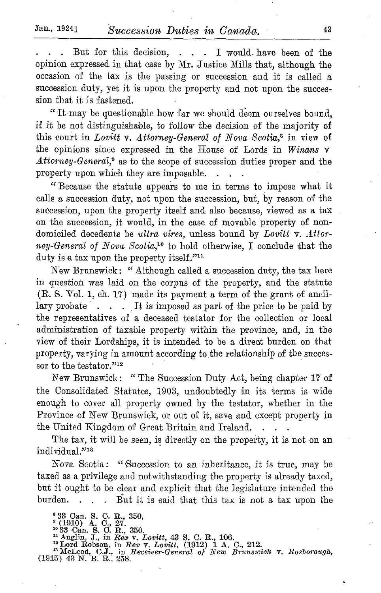But for this decision, . . . I would. have been of the opinion expressed in that case by Mr. Justice Mills that, although the occasion of the tax is the passing or succession and it is called a succession duty, yet it is upon the property and not upon the succession that it is fastened.

"It may be questionable how far we should deem ourselves bound, if it be not distinguishable, to follow the decision of the majority of this court in Lovitt v. Attorney-General of Nova Scotia,<sup>8</sup> in view of the opinions since expressed in the House of Lords in Winans  $\nabla$ Attorney-General,<sup>9</sup> as to the scope of succession duties proper and the property upon which they are imposable.

"Because the statute appears to me in terms to impose what it calls a succession duty, not upon the succession, but, by reason of the succession, upon the property itself and also because, viewed as a tax on the succession, it would, in the case of movable property of nondomiciled decedents be ultra vires, unless bound by Lovitt v. Attorney-General of Nova Scotia,<sup>10</sup> to hold otherwise, I conclude that the duty is a tax upon the property itself."<sup>11</sup>

New Brunswick : "Although called a succession duty, the tax here in question was laid on .the corpus of the property, and the statute  $(R. S. Vol. 1, ch. 17)$  made its payment a term of the grant of ancillary probate  $\ldots$ . It is imposed as part of the price to be paid by ... It is imposed as part of the price to be paid by the representatives of a deceased testator for the collection or local administration of taxable property within the province, and, in the view of their Lordships, it is intended to be a direct burden on that property, varying in amount according to the relationship of the successor to the testator."<sup>12</sup>

New Brunswick : " The Succession Duty Act, being chapter <sup>17</sup> of the Consolidated Statutes, 1903, undoubtedly in its terms is wide enough to cover all property owned by the testator, whether in the Province of New Brunswick, or out of it, save and except property in the United Kingdom of Great Britain and Ireland.

The tax, it will be seen, is directly on the property, it is not on an individual."<sup>18</sup>

Nova Scotia: "Succession to an inheritance, it is true, may be taxed as a privilege and notwithstanding the property is already taxed, but it ought to be clear and explicit that the legislature intended the burden. . . . But it is said that this tax is not a tax upon the

\* 33 Can. S. C. R., 350,<br>
\* (1910) A. C., 27.<br>
\* 33 Can. S. C. R., 350.<br>
\* 32 Can. S. C. R., 106.<br>
\* Anglin, J., in Rea v. Lovitt, 43 S. C. R., 106.<br>
\* Lord Robson, in Rea v. Lovitt, (1912) 1 A. C., 212.<br>
\* McLeod, C.J.,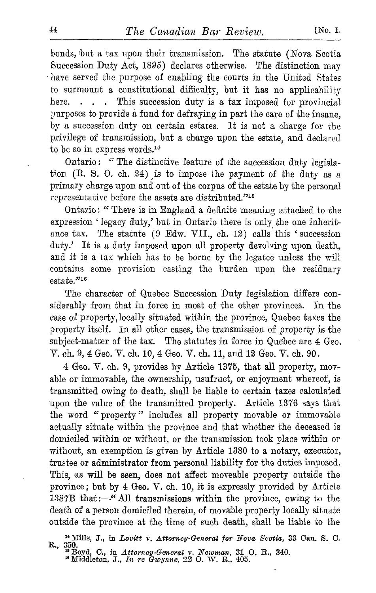bonds, but a tax upon their transmission. The statute (Nova Scotia Succession Duty Act, 1895) declares otherwise. The distinction may have served the purpose of enabling the courts in the United States to surmount a constitutional difficulty, but it has no applicability<br>here.... This succession duty is a tax imposed for provincial . . . This succession duty is a tax imposed for provincial purposes to provide a fund for defraying in part the care of the insane, by a succession duty on certain estates. It is not a charge for the privilege of transmission, but a charge upon the estate, and declared to be so in express words.<sup>14</sup>

Ontario: "The distinctive feature of the succession duty legislation  $(R. S. O. ch. 24)$  is to impose the payment of the duty as a primary charge upon and out of the corpus of the estate by the personal representative before the assets are distributed."<sup>15</sup>

Ontario : " There is in England a definite meaning attached to the expression 'legacy duty,' but in Ontario there is only the one inheritance tax. The statute  $(9 \text{ Edw. VII., ch. } 12)$  calls this 'succession duty.' It is <sup>a</sup> duty imposed upon all property devolving upon death, and it is a tax which has to be borne by the legatee unless the will contains some provision casting the burden upon the residuary estate."<sup>16</sup>

The character of Quebec Succession Duty legislation differs considerably from that in force in most of the other provinces. In the case of property, locally situated within the province, Quebec taxes the property itself. In all other cases, the transmission of property is the subject-matter of the tax. The statutes in force in Quebec are  $4 \text{ Geo}$ . V. ch. 9, <sup>4</sup> Geo. V. ch. 10, <sup>4</sup> Geo. V. ch. 11, and <sup>12</sup> Geo. V. ch. <sup>90</sup> .

4 Geo. V. ch. 9, provides by Article 1375, that all property, movable or immovable, the ownership, usufruct, or enjoyment whereof, is transmitted owing to death, shall be liable to certain taxes calculated upon the value of the transmitted property. Article 1376 says that the word " property " includes all property movable or immovable actually situate within the province and that whether the deceased is domiciled within or without, or the transmission took place within or without, an exemption is given by Article 1380 to a notary, executor, trustee or administrator from personal liability for the duties imposed. This, as will be seen, does not affect moveable property outside the province ; but by <sup>4</sup> Geo. V. ch. 10, it is expressly provided by Article 1387B that :- "All transmissions within the province, owing to the death of a person domiciled therein, of movable property locally situate outside the province at the time of such death, shall be liable to the

<sup>&</sup>lt;sup>14</sup> Mills, J., in *Lovitt v. Attorney-General for Nova Scotia*, 33 Can. S. C.<br>R., 350.<br><sup>15</sup> Boyd, C., in *Attorney-General v. Newman*, 31 O. R., 340.<br><sup>16</sup> Middleton, J., *In re Gwynne*, 22 O. W. R., 405.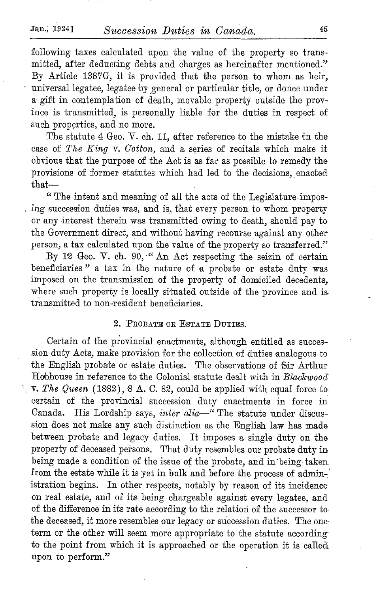following taxes calculated upon the value of the property so transmitted, after deducting debts and charges as hereinafter mentioned." By Article 1387G, it is provided that the person to whom as heir, universal legatee, legatee by general or particular title, or donee under a gift in contemplation of death, movable property outside the province is transmitted, is personally liable for the duties in respect of such properties, and no more.

The statute 4 Geo. V. ch. 11, after reference to the mistake in the case of The Zing v. Cotton, and a series of recitals which make it obvious that the purpose of the Act is as far as possible to remedy the provisions of former statutes which had led to the decisions, enacted that-

"The intent and meaning of all the acts of the Legislature imposing succession duties was, and is, that every person to whom property or any interest therein was transmitted owing to death, should pay to the Government direct, and without having recourse against any other person, a tax calculated upon the value of the property so transferred."

By <sup>12</sup> Geo. V. ch. 90, "An Act respecting the seizin of certain beneficiaries " a tax in the nature of a probate or estate duty was imposed on the transmission of the property of domiciled decedents, where such property is locally situated outside of the province and is transmitted to non-resident beneficiaries .

### 2. PROBATE on ESTATE DUTIES.

Certain of the provincial enactments, although entitled as succession duty Acts, make provision for the collection of duties analogous to the English probate or estate duties. The observations of Sir Arthur Hobhouse in reference to the Colonial statute dealt with in Blackwood  $\gamma$ . The Queen (1882), 8 A. C. 82, could be applied with equal force to certain of the provincial succession duty enactments in force in Canada. His Lordship says, inter alia-" The statute under discussion does not make any such distinction as the English law has made between probate and legacy duties. It imposes a single duty on the property of deceased persons. That duty resembles our probate duty in being made a condition of the issue of the probate, and in'being-taken from the estate while it is yet in bulk and before the process of administration begins. In other respects, notably by reason of its incidence on real estate, and of its being chargeable against every legatee, and of the difference in its rate according to the relation of the successor to, the deceased, it more resembles our legacy or succession duties. The oneterm or the other will seem more appropriate to the statute according to the point from which it is approached or the operation it is called upon to perform."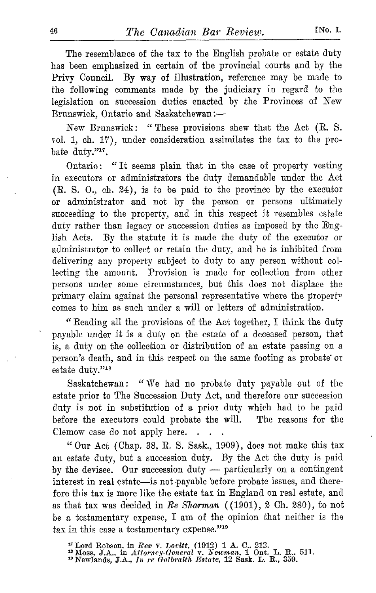The resemblance of the tax to the English probate or estate duty has been emphasized in certain of the provincial courts and by the Privy Council. By way of illustration, reference may be made to the following comments made by the judiciary in regard to the legislation on succession duties enacted by the Provinces of New Brunswick, Ontario and Saskatchewan :-

New Brunswick: "These provisions shew that the Act (R. S. col . 1, ch. 17), under consideration assimilates the tax to the probate duty."<sup>17</sup>.

Ontario: "It seems plain that in the case of property vesting in executors or administrators the duty demandable under the Act (R. S. 0., ch. 24), is to be paid to the province by the executor or administrator and not by the person or persons ultimately succeeding to the property, and in this respect it resembles estate duty rather than legacy or succession duties as imposed by the Eng-<br>lish Acts. By the statute it is made the duty of the executor or By the statute it is made the duty of the executor or administrator to collect or retain the duty, and he is inhibited from delivering any property subject to duty to any person without collecting the amount. Provision is made for collection from other persons under some circumstances, but this does not displace the primary claim against the personal representative where the property comes to him as such under a will or letters of administration.

" Reading all the provisions of the Act together, I think the duty payable under it is a duty on the estate of a deceased person, that is, a duty on the collection or distribution of an estate passing on a person's death, and in this respect on the same footing as probate or estate duty."<sup>18</sup>

Saskatchewan: "We had no probate duty payable out of the estate prior to The Succession Duty Act, and therefore our succession duty is not in substitution of a prior duty which had to be paid before the executors could probate the will. The reasons for the Clemow case do not apply here.  $\sim$ 

"Our Act (Chap. 38, R . S. Sask., 1909), does not make this tax an estate duty, but <sup>a</sup> succession duty. By the Act the duty is paid by the devisee. Our succession duty - particularly on a contingent interest in real estate—is not payable before probate issues, and therefore this tax is more like the estate tax in England on real estate, and as that tax was decided in Re Sharman ( (1901), <sup>2</sup> Ch. 280), to not be <sup>a</sup> testamentary expense, <sup>I</sup> am of the opinion that neither is the tax in this case a testamentary expense."<sup>19</sup>

<sup>&</sup>lt;sup>17</sup> Lord Robson, in *Rex V. Loritt,* (1912) 1 A. C., 212.<br><sup>18</sup> Moss, J.A., in *Attorney-General v. Newman*, 1 Ont. L. R., 511.<br><sup>19</sup> Newlands, J.A., *In re Galbraith Estate*, 12 Sask. L. R., 359.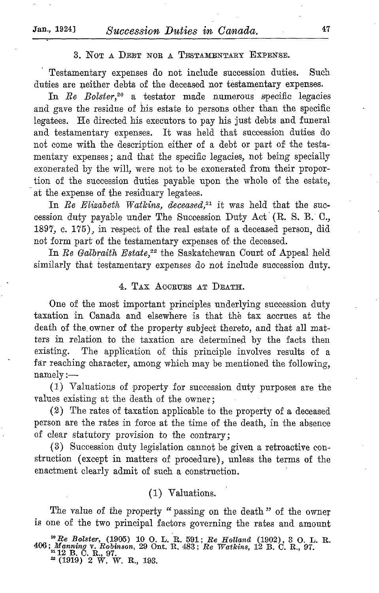# 3. NOT A DEBT NOR A TESTAMENTARY EXPENSE.

Testamentary expenses do not include succession duties. Such duties are neither debts of the deceased nor testamentary expenses.

In Re Bolster,<sup>20</sup> a testator made numerous specific legacies and gave the residue of his estate to persons other than the specific legatees. He directed his executors to pay his just debts and funeral and testamentary expenses. It was held that succession duties do not come with the description either of a debt or part of the testamentary expenses ; and that the specific legacies, not being specially exonerated by the will, were not to be exonerated from their proportion of the succession duties payable upon the whole of the estate, at the expense of the residuary legatees .

In Re Elizabeth Watkins, deceased,<sup>21</sup> it was held that the succession duty payable under The Succession Duty Act (R. S. B. C., 1897, c. 175), in respect of the real estate of a deceased person, did not form part of the testamentary expenses of the deceased.

In Re Galbraith Estate, $2^2$  the Saskatchewan Court of Appeal held similarly that testamentary expenses do not include succession duty.

### 4. TAX ACCRUES AT DEATH.

One of the most important principles underlying succession duty taxation in Canada and elsewhere is that the tax accrues at the death of the owner of the property subject thereto, and that all matters in relation to the taxation are determined by the facts then existing. The application of this principle involves results of a far reaching character, among which may be mentioned the following,  $\text{namely}$  :-

(1) Valuations of property for succession duty purposes are the values existing at the death of the owner ;

(2) The rates of taxation applicable to the property of a deceased person are the rates in force at the time of the death, in the absence of clear statutory provision to the contrary ;

(3) Succession duty legislation cannot be given a retroactive construction (except in matters of procedure), unless the terms of the enactment clearly admit of such a construction.

# (1) Valuations.

The value of the property "passing on the death" of the owner is one of the two principal factors governing the rates and amount

<sup>20</sup> Re Bolster, (1905) 10 O. L. R. 591; Re Holland (1902), 3 O. L. R. 406; *Manning v. Robinson*, 29 Ont. R. 483; Re Watkins, 12 B. C. R., 97.<br><sup>21</sup> 12 B. C. R., 97.<br><sup>22</sup> (1919) 2 W. W. R., 193.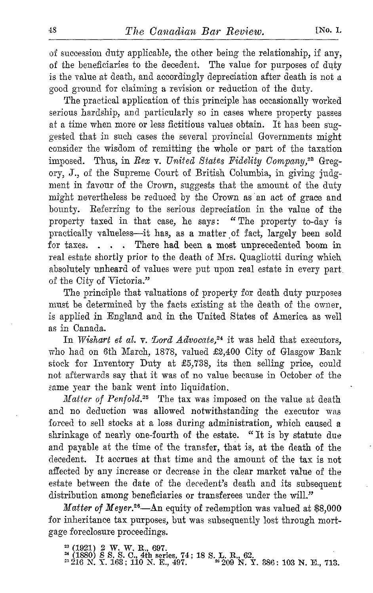of succession duty applicable, the other being the relationship, if any, of the beneficiaries to the decedent. The value for purposes of duty is the value at death, and accordingly depreciation after death is not a good ground for claiming a revision or reduction of the duty.

The practical application of this principle has occasionally worked serious hardship, and particularly so in cases where property passes at a time when more or less fictitious values obtain. It has been suggested that in such cases the several provincial Governments might consider the wisdom of remitting the whole or part of the taxation imposed. Thus, in Rex v. United States Fidelity Company,<sup>28</sup> Gregory, J., of the Supreme Court of British Columbia, in giving judgment in favour of the Crown, suggests that the amount of the duty might nevertheless be reduced by the Crown as an act of grace and bounty. Referring to the serious depreciation in the value of the property taxed in that case, he says: "The property to-day is practically valueless-it has, as a matter of fact, largely been sold for taxes. . . . There had been a most unprecedented boom in real estate shortly prior to the death of Mrs. Quagliotti during which absolutely unheard of values were put upon real estate in every part. of the City of Victoria."

The principle that valuations of property for death duty purposes must be determined by the facts existing at the death of the owner, is applied in England and in the United States of America as well as in Canada.

In Wishart et al. v. Lord  $Advocate$ ,<sup>24</sup> it was held that executors, who had on 6th March, 1878, valued £2,400 City of Glasgow Bank stock for Inventory Duty at £5,738, its then selling price, could not afterwards say that it was of no value because in October of the same year the bank went into liquidation.

*Matter of Penfold.*<sup>25</sup> The tax was imposed on the value at death and no deduction was allowed notwithstanding the executor was forced to sell stocks at a loss during administration, which caused a shrinkage of nearly one-fourth of the estate. " It is by statute due and payable at the time of the transfer, that is, at the death of the decedent. It accrues at that time and the amount of the tax is not affected by any increase or decrease in the clear market value of the estate between the date of the decedent's death and its subsequent distribution among beneficiaries or transferees under the will."

Matter of Meyer.<sup>26</sup>-An equity of redemption was valued at \$8,000 for inheritance tax purposes, but was subsequently lost through mortgage foreclosure proceedings .

<sup>&</sup>lt;sup>23</sup> (1921) 2 W. W. R., 697.<br><sup>24</sup> (1880) *8 S. S. C., 4th series, 74* ; 18 S. L. R., 62.<br><sup>25</sup> 216 N. Y. 163 ; 110 N. E., 497. <sup>26</sup> 209 N. Y. 386 ; 103 N. E., 713.